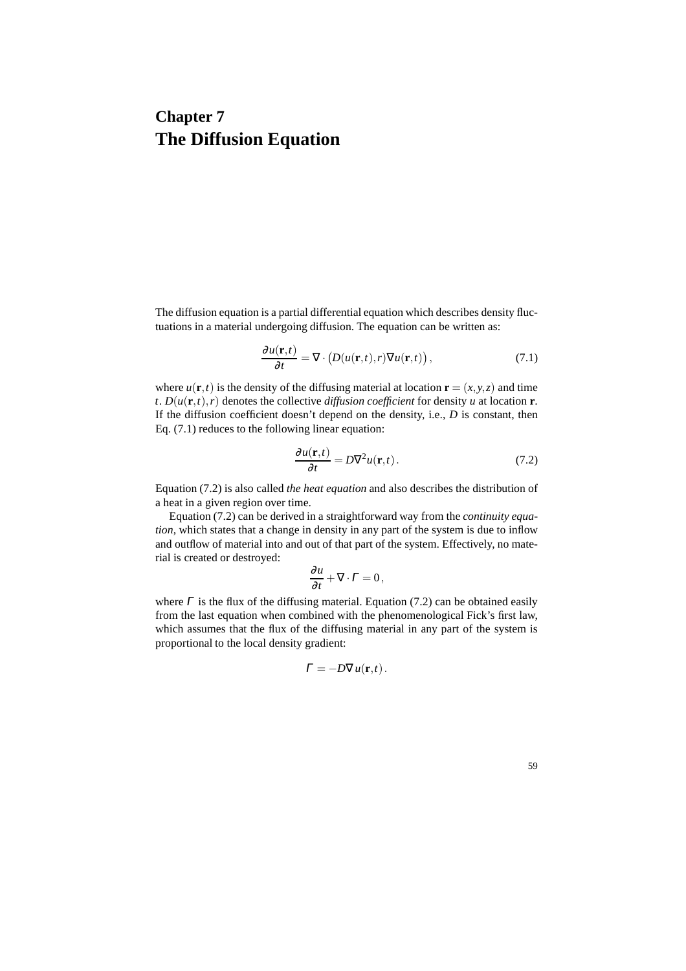# **Chapter 7 The Diffusion Equation**

The diffusion equation is a partial differential equation which describes density fluctuations in a material undergoing diffusion. The equation can be written as:

$$
\frac{\partial u(\mathbf{r},t)}{\partial t} = \nabla \cdot \left( D(u(\mathbf{r},t),r) \nabla u(\mathbf{r},t) \right),\tag{7.1}
$$

where  $u(\mathbf{r},t)$  is the density of the diffusing material at location  $\mathbf{r} = (x, y, z)$  and time  $t$ .  $D(u(\mathbf{r},t),r)$  denotes the collective *diffusion coefficient* for density *u* at location **r**. If the diffusion coefficient doesn't depend on the density, i.e., *D* is constant, then Eq. (7.1) reduces to the following linear equation:

$$
\frac{\partial u(\mathbf{r},t)}{\partial t} = D\nabla^2 u(\mathbf{r},t).
$$
 (7.2)

Equation (7.2) is also called *the heat equation* and also describes the distribution of a heat in a given region over time.

Equation (7.2) can be derived in a straightforward way from the *continuity equation*, which states that a change in density in any part of the system is due to inflow and outflow of material into and out of that part of the system. Effectively, no material is created or destroyed:

$$
\frac{\partial u}{\partial t} + \nabla \cdot \Gamma = 0,
$$

where  $\Gamma$  is the flux of the diffusing material. Equation (7.2) can be obtained easily from the last equation when combined with the phenomenological Fick's first law, which assumes that the flux of the diffusing material in any part of the system is proportional to the local density gradient:

$$
\Gamma = -D\nabla u(\mathbf{r},t).
$$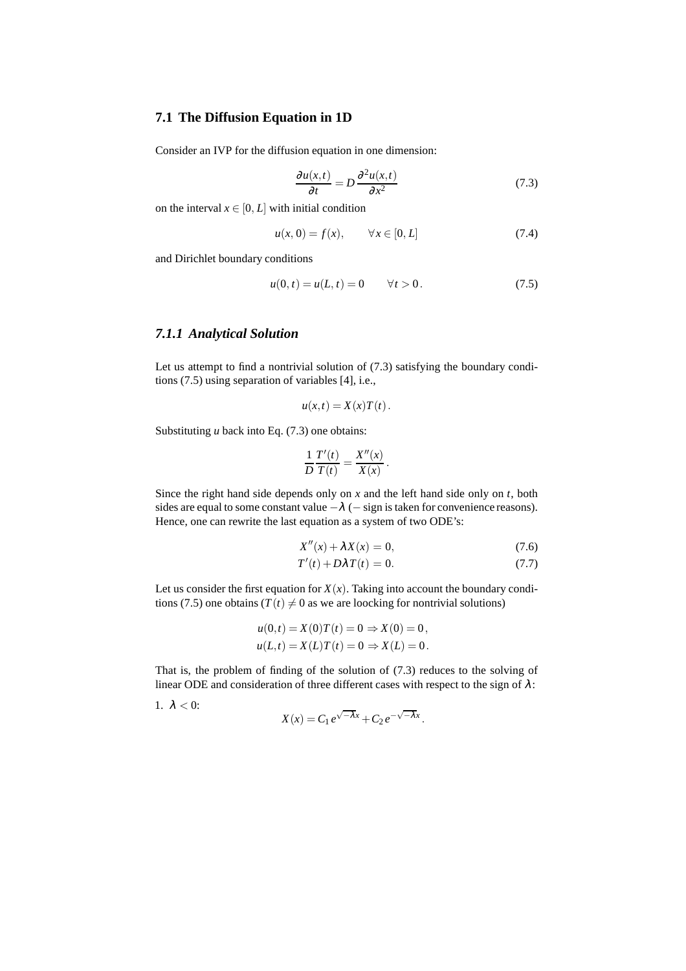## **7.1 The Diffusion Equation in 1D**

Consider an IVP for the diffusion equation in one dimension:

$$
\frac{\partial u(x,t)}{\partial t} = D \frac{\partial^2 u(x,t)}{\partial x^2}
$$
 (7.3)

on the interval  $x \in [0, L]$  with initial condition

$$
u(x, 0) = f(x), \qquad \forall x \in [0, L]
$$
 (7.4)

and Dirichlet boundary conditions

$$
u(0, t) = u(L, t) = 0 \t\t \forall t > 0.
$$
 (7.5)

## *7.1.1 Analytical Solution*

Let us attempt to find a nontrivial solution of (7.3) satisfying the boundary conditions (7.5) using separation of variables [4], i.e.,

$$
u(x,t) = X(x)T(t).
$$

Substituting *u* back into Eq. (7.3) one obtains:

$$
\frac{1}{D}\frac{T'(t)}{T(t)} = \frac{X''(x)}{X(x)}.
$$

Since the right hand side depends only on *x* and the left hand side only on *t*, both sides are equal to some constant value  $-\lambda$  ( $-$  sign is taken for convenience reasons). Hence, one can rewrite the last equation as a system of two ODE's:

$$
X''(x) + \lambda X(x) = 0,\t(7.6)
$$

$$
T'(t) + D\lambda T(t) = 0.
$$
\n(7.7)

Let us consider the first equation for  $X(x)$ . Taking into account the boundary conditions (7.5) one obtains ( $T(t) \neq 0$  as we are loocking for nontrivial solutions)

$$
u(0,t) = X(0)T(t) = 0 \Rightarrow X(0) = 0,
$$
  

$$
u(L,t) = X(L)T(t) = 0 \Rightarrow X(L) = 0.
$$

That is, the problem of finding of the solution of (7.3) reduces to the solving of linear ODE and consideration of three different cases with respect to the sign of  $\lambda$ :

$$
1. \ \lambda < 0:
$$

$$
X(x) = C_1 e^{\sqrt{-\lambda}x} + C_2 e^{-\sqrt{-\lambda}x}.
$$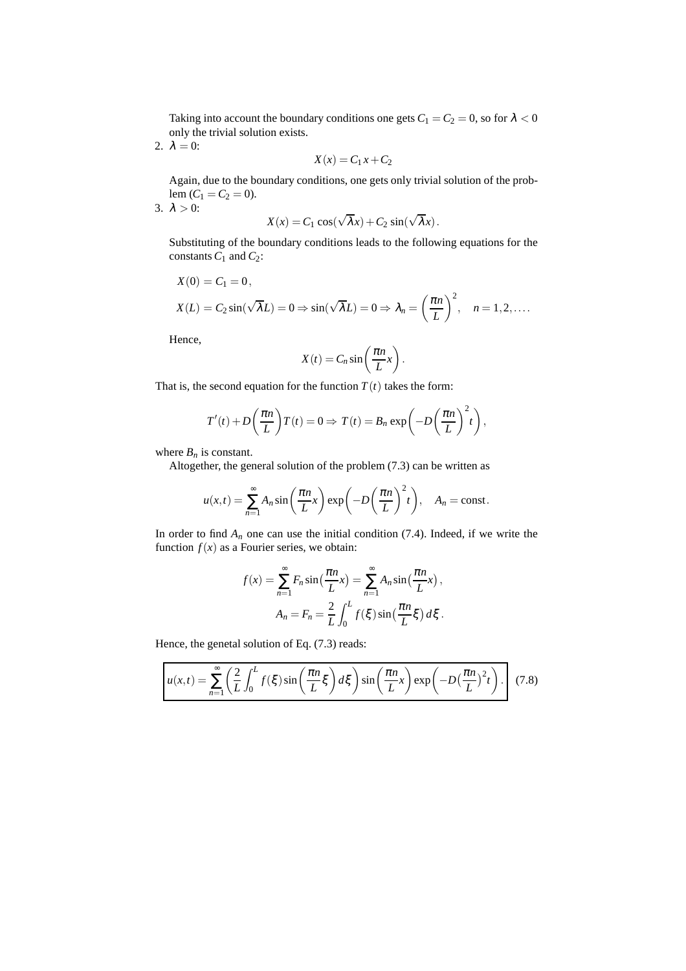Taking into account the boundary conditions one gets  $C_1 = C_2 = 0$ , so for  $\lambda < 0$ only the trivial solution exists.

2.  $\lambda = 0$ :

$$
X(x) = C_1 x + C_2
$$

Again, due to the boundary conditions, one gets only trivial solution of the problem  $(C_1 = C_2 = 0)$ . 3.  $\lambda > 0$ :

$$
X(x) = C_1 \cos(\sqrt{\lambda}x) + C_2 \sin(\sqrt{\lambda}x).
$$

Substituting of the boundary conditions leads to the following equations for the constants  $C_1$  and  $C_2$ :

$$
X(0) = C_1 = 0,
$$
  
\n
$$
X(L) = C_2 \sin(\sqrt{\lambda}L) = 0 \Rightarrow \sin(\sqrt{\lambda}L) = 0 \Rightarrow \lambda_n = \left(\frac{\pi n}{L}\right)^2, \quad n = 1, 2, ....
$$

Hence,

$$
X(t) = C_n \sin\left(\frac{\pi n}{L}x\right).
$$

That is, the second equation for the function  $T(t)$  takes the form:

$$
T'(t) + D\left(\frac{\pi n}{L}\right)T(t) = 0 \Rightarrow T(t) = B_n \exp\left(-D\left(\frac{\pi n}{L}\right)^2 t\right),
$$

where  $B_n$  is constant.

Altogether, the general solution of the problem (7.3) can be written as

$$
u(x,t) = \sum_{n=1}^{\infty} A_n \sin\left(\frac{\pi n}{L}x\right) \exp\left(-D\left(\frac{\pi n}{L}\right)^2 t\right), \quad A_n = \text{const.}
$$

In order to find  $A_n$  one can use the initial condition (7.4). Indeed, if we write the function  $f(x)$  as a Fourier series, we obtain:

$$
f(x) = \sum_{n=1}^{\infty} F_n \sin\left(\frac{\pi n}{L}x\right) = \sum_{n=1}^{\infty} A_n \sin\left(\frac{\pi n}{L}x\right),
$$

$$
A_n = F_n = \frac{2}{L} \int_0^L f(\xi) \sin\left(\frac{\pi n}{L} \xi\right) d\xi.
$$

Hence, the genetal solution of Eq. (7.3) reads:

$$
u(x,t) = \sum_{n=1}^{\infty} \left(\frac{2}{L} \int_0^L f(\xi) \sin\left(\frac{\pi n}{L} \xi\right) d\xi\right) \sin\left(\frac{\pi n}{L} x\right) \exp\left(-D\left(\frac{\pi n}{L}\right)^2 t\right).
$$
 (7.8)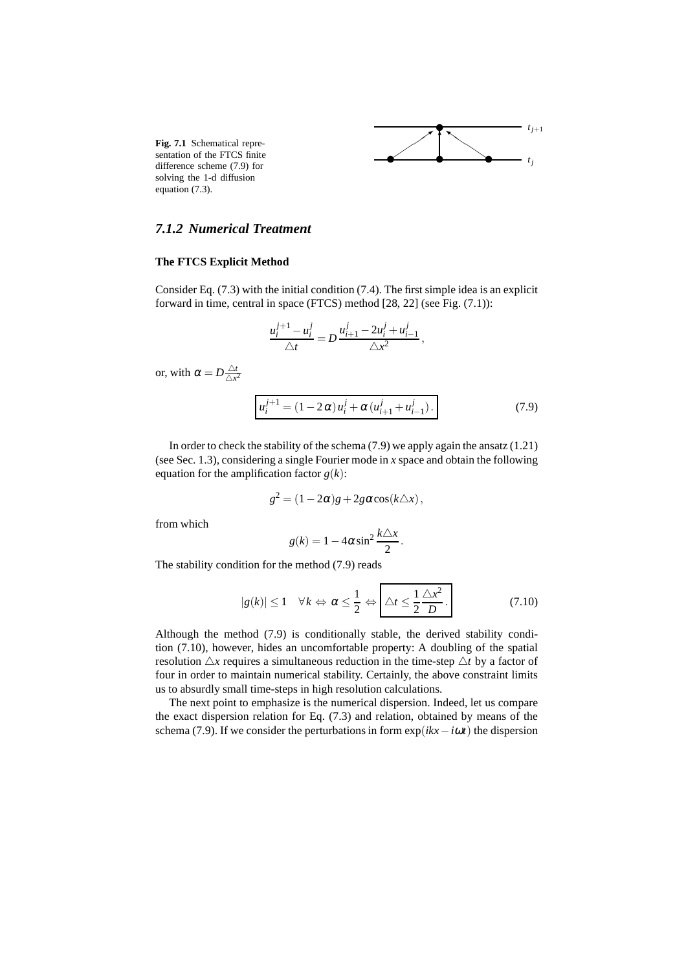

**Fig. 7.1** Schematical representation of the FTCS finite difference scheme (7.9) for solving the 1-d diffusion equation (7.3).

# *7.1.2 Numerical Treatment*

#### **The FTCS Explicit Method**

Consider Eq. (7.3) with the initial condition (7.4). The first simple idea is an explicit forward in time, central in space (FTCS) method [28, 22] (see Fig. (7.1)):

$$
\frac{u_i^{j+1} - u_i^j}{\triangle t} = D \frac{u_{i+1}^j - 2u_i^j + u_{i-1}^j}{\triangle x^2},
$$

or, with  $\alpha = D \frac{\Delta t}{\Delta x^2}$  $\triangle x^2$ 

$$
u_i^{j+1} = (1 - 2\alpha)u_i^j + \alpha (u_{i+1}^j + u_{i-1}^j).
$$
 (7.9)

In order to check the stability of the schema (7.9) we apply again the ansatz (1.21) (see Sec. 1.3), considering a single Fourier mode in *x* space and obtain the following equation for the amplification factor  $g(k)$ :

$$
g^2 = (1 - 2\alpha)g + 2g\alpha\cos(k\triangle x),
$$

from which

$$
g(k) = 1 - 4\alpha \sin^2 \frac{k\Delta x}{2}.
$$

The stability condition for the method (7.9) reads

$$
|g(k)| \le 1 \quad \forall k \Leftrightarrow \alpha \le \frac{1}{2} \Leftrightarrow \boxed{\triangle t \le \frac{1}{2} \frac{\triangle x^2}{D}}.
$$
 (7.10)

Although the method (7.9) is conditionally stable, the derived stability condition (7.10), however, hides an uncomfortable property: A doubling of the spatial resolution  $\Delta x$  requires a simultaneous reduction in the time-step  $\Delta t$  by a factor of four in order to maintain numerical stability. Certainly, the above constraint limits us to absurdly small time-steps in high resolution calculations.

The next point to emphasize is the numerical dispersion. Indeed, let us compare the exact dispersion relation for Eq. (7.3) and relation, obtained by means of the schema (7.9). If we consider the perturbations in form  $exp(ikx - i\omega t)$  the dispersion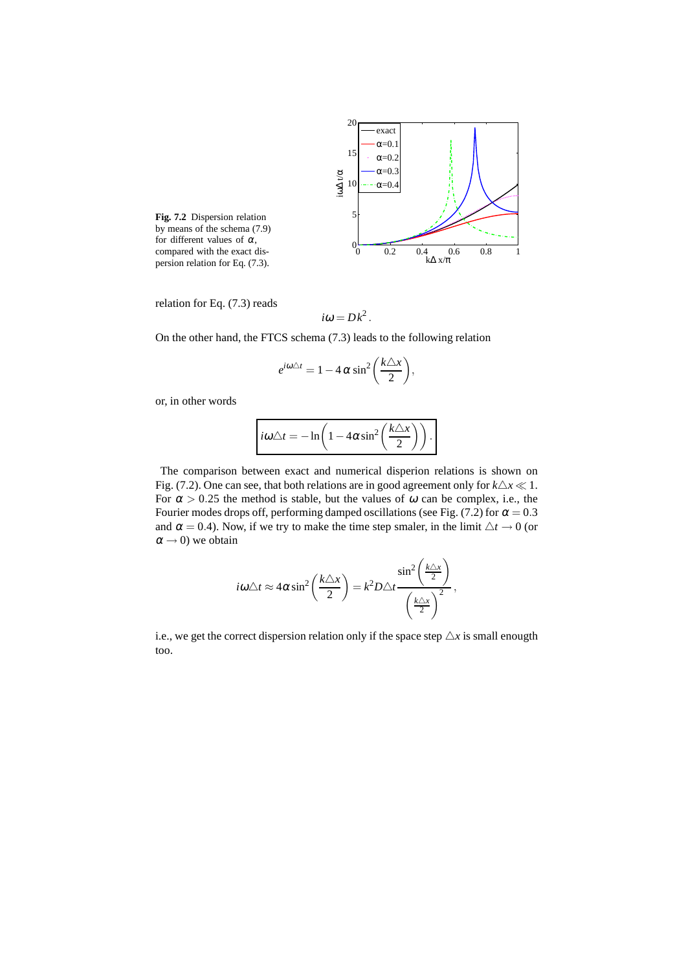

**Fig. 7.2** Dispersion relation by means of the schema (7.9) for different values of  $\alpha$ , compared with the exact dispersion relation for Eq. (7.3).

relation for Eq. (7.3) reads

$$
i\omega = Dk^2.
$$

On the other hand, the FTCS schema (7.3) leads to the following relation

$$
e^{i\omega\triangle t} = 1 - 4\alpha \sin^2\left(\frac{k\triangle x}{2}\right),
$$

or, in other words

$$
i\omega\triangle t=-\ln\bigg(1-4\alpha\sin^2\bigg(\frac{k\triangle x}{2}\bigg)\bigg).
$$

The comparison between exact and numerical disperion relations is shown on Fig. (7.2). One can see, that both relations are in good agreement only for  $k\Delta x \ll 1$ . For  $\alpha > 0.25$  the method is stable, but the values of  $\omega$  can be complex, i.e., the Fourier modes drops off, performing damped oscillations (see Fig. (7.2) for  $\alpha = 0.3$ and  $\alpha = 0.4$ ). Now, if we try to make the time step smaler, in the limit  $\triangle t \rightarrow 0$  (or  $\alpha \rightarrow 0$ ) we obtain

$$
i\omega\triangle t \approx 4\alpha \sin^2\left(\frac{k\triangle x}{2}\right) = k^2 D \triangle t \frac{\sin^2\left(\frac{k\triangle x}{2}\right)}{\left(\frac{k\triangle x}{2}\right)^2},
$$

i.e., we get the correct dispersion relation only if the space step  $\Delta x$  is small enougth too.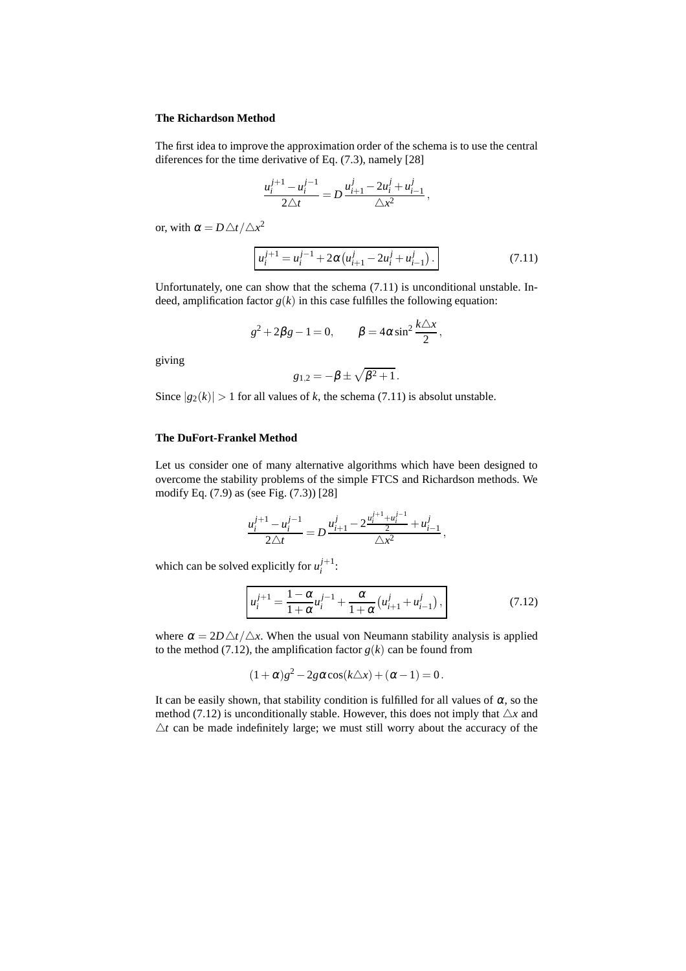#### **The Richardson Method**

The first idea to improve the approximation order of the schema is to use the central diferences for the time derivative of Eq. (7.3), namely [28]

$$
\frac{u_i^{j+1} - u_i^{j-1}}{2\triangle t} = D \frac{u_{i+1}^j - 2u_i^j + u_{i-1}^j}{\triangle x^2},
$$

or, with  $\alpha = D \triangle t / \triangle x^2$ 

$$
u_i^{j+1} = u_i^{j-1} + 2\alpha \left( u_{i+1}^j - 2u_i^j + u_{i-1}^j \right). \tag{7.11}
$$

Unfortunately, one can show that the schema (7.11) is unconditional unstable. Indeed, amplification factor  $g(k)$  in this case fulfilles the following equation:

$$
g^2 + 2\beta g - 1 = 0, \qquad \beta = 4\alpha \sin^2 \frac{k\Delta x}{2},
$$

giving

$$
g_{1,2}=-\beta\pm\sqrt{\beta^2+1}.
$$

Since  $|g_2(k)| > 1$  for all values of *k*, the schema (7.11) is absolut unstable.

#### **The DuFort-Frankel Method**

Let us consider one of many alternative algorithms which have been designed to overcome the stability problems of the simple FTCS and Richardson methods. We modify Eq. (7.9) as (see Fig. (7.3)) [28]

$$
\frac{u_i^{j+1} - u_i^{j-1}}{2\Delta t} = D \frac{u_{i+1}^j - 2\frac{u_i^{j+1} + u_i^{j-1}}{2} + u_{i-1}^j}{\Delta x^2},
$$

which can be solved explicitly for  $u_i^{j+1}$ :

$$
u_i^{j+1} = \frac{1 - \alpha}{1 + \alpha} u_i^{j-1} + \frac{\alpha}{1 + \alpha} \left( u_{i+1}^j + u_{i-1}^j \right),\tag{7.12}
$$

where  $\alpha = 2D \triangle t / \triangle x$ . When the usual von Neumann stability analysis is applied to the method (7.12), the amplification factor  $g(k)$  can be found from

$$
(1+\alpha)g^2-2g\alpha\cos(k\triangle x)+(\alpha-1)=0.
$$

It can be easily shown, that stability condition is fulfilled for all values of  $\alpha$ , so the method (7.12) is unconditionally stable. However, this does not imply that  $\triangle x$  and  $\Delta t$  can be made indefinitely large; we must still worry about the accuracy of the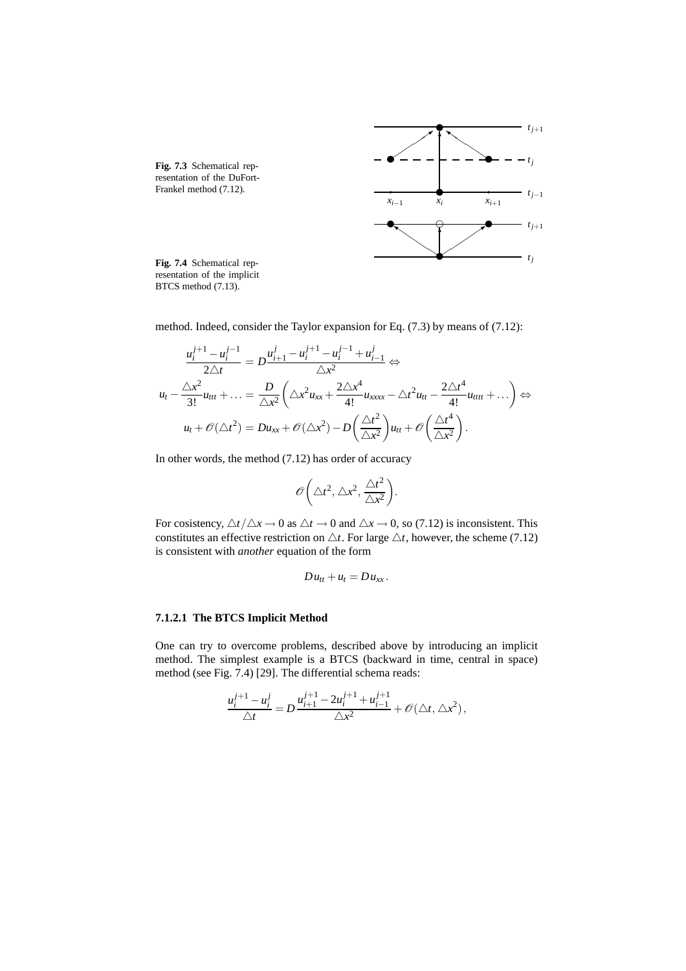

resentation of the implicit BTCS method (7.13).

method. Indeed, consider the Taylor expansion for Eq. (7.3) by means of (7.12):

$$
\frac{u_i^{j+1} - u_i^{j-1}}{2\Delta t} = D \frac{u_{i+1}^j - u_i^{j+1} - u_i^{j-1} + u_{i-1}^j}{\Delta x^2} \Leftrightarrow
$$
  
\n
$$
u_t - \frac{\Delta x^2}{3!} u_{tt} + \dots = \frac{D}{\Delta x^2} \left( \Delta x^2 u_{xx} + \frac{2\Delta x^4}{4!} u_{xxxx} - \Delta t^2 u_{tt} - \frac{2\Delta t^4}{4!} u_{tttt} + \dots \right) \Leftrightarrow
$$
  
\n
$$
u_t + \mathcal{O}(\Delta t^2) = Du_{xx} + \mathcal{O}(\Delta x^2) - D \left( \frac{\Delta t^2}{\Delta x^2} \right) u_{tt} + \mathcal{O} \left( \frac{\Delta t^4}{\Delta x^2} \right).
$$

In other words, the method (7.12) has order of accuracy

$$
\mathscr{O}\bigg(\triangle t^2, \triangle x^2, \frac{\triangle t^2}{\triangle x^2}\bigg).
$$

For cosistency,  $\triangle t / \triangle x \rightarrow 0$  as  $\triangle t \rightarrow 0$  and  $\triangle x \rightarrow 0$ , so (7.12) is inconsistent. This constitutes an effective restriction on  $\triangle t$ . For large  $\triangle t$ , however, the scheme (7.12) is consistent with *another* equation of the form

$$
Du_{tt}+u_t=Du_{xx}.
$$

#### **7.1.2.1 The BTCS Implicit Method**

One can try to overcome problems, described above by introducing an implicit method. The simplest example is a BTCS (backward in time, central in space) method (see Fig. 7.4) [29]. The differential schema reads:

$$
\frac{u_i^{j+1} - u_i^j}{\triangle t} = D \frac{u_{i+1}^{j+1} - 2u_i^{j+1} + u_{i-1}^{j+1}}{\triangle x^2} + \mathcal{O}(\triangle t, \triangle x^2),
$$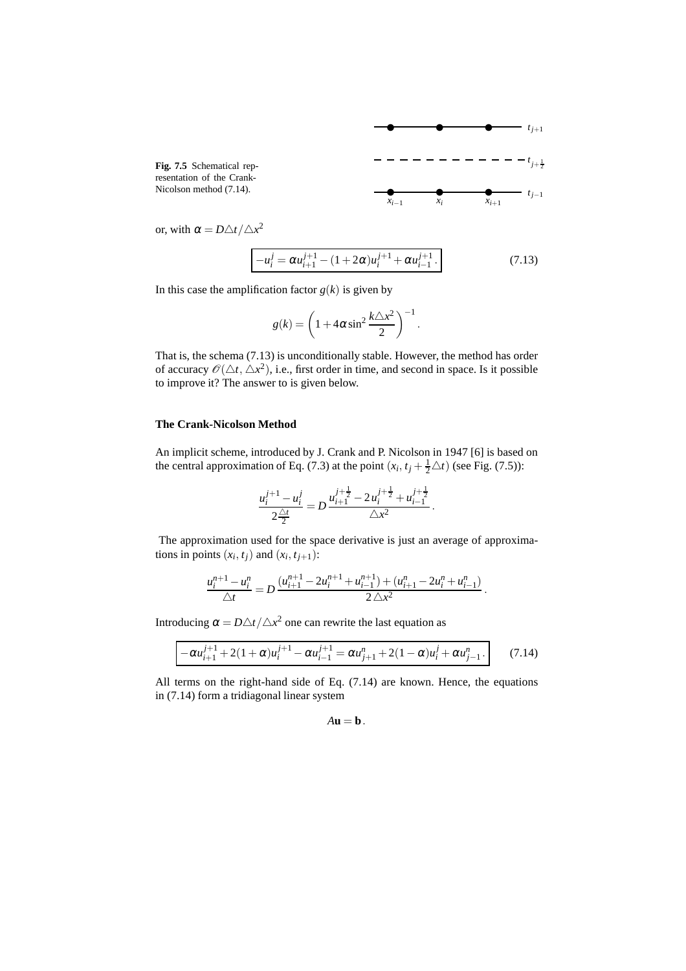

or, with  $\alpha = D \triangle t / \triangle x^2$ 

$$
-u_i^j = \alpha u_{i+1}^{j+1} - (1 + 2\alpha)u_i^{j+1} + \alpha u_{i-1}^{j+1}.
$$
 (7.13)

.

In this case the amplification factor  $g(k)$  is given by

$$
g(k) = \left(1 + 4\alpha \sin^2 \frac{k\triangle x^2}{2}\right)^{-1}
$$

That is, the schema (7.13) is unconditionally stable. However, the method has order of accuracy  $\mathscr{O}(\Delta t, \Delta x^2)$ , i.e., first order in time, and second in space. Is it possible to improve it? The answer to is given below.

#### **The Crank-Nicolson Method**

An implicit scheme, introduced by J. Crank and P. Nicolson in 1947 [6] is based on the central approximation of Eq. (7.3) at the point  $(x_i, t_j + \frac{1}{2}\Delta t)$  (see Fig. (7.5)):

$$
\frac{u_i^{j+1} - u_i^j}{2\frac{\Delta t}{2}} = D \frac{u_{i+1}^{j+\frac{1}{2}} - 2u_i^{j+\frac{1}{2}} + u_{i-1}^{j+\frac{1}{2}}}{\Delta x^2}.
$$

The approximation used for the space derivative is just an average of approximations in points  $(x_i, t_j)$  and  $(x_i, t_{j+1})$ :

$$
\frac{u_i^{n+1}-u_i^n}{\triangle t}=D\frac{(u_{i+1}^{n+1}-2u_i^{n+1}+u_{i-1}^{n+1})+(u_{i+1}^n-2u_i^n+u_{i-1}^n)}{2\triangle x^2}.
$$

Introducing  $\alpha = D \triangle t / \triangle x^2$  one can rewrite the last equation as

$$
-\alpha u_{i+1}^{j+1} + 2(1+\alpha)u_i^{j+1} - \alpha u_{i-1}^{j+1} = \alpha u_{j+1}^n + 2(1-\alpha)u_i^j + \alpha u_{j-1}^n.
$$
 (7.14)

All terms on the right-hand side of Eq. (7.14) are known. Hence, the equations in (7.14) form a tridiagonal linear system

 $A$ **u** = **b**.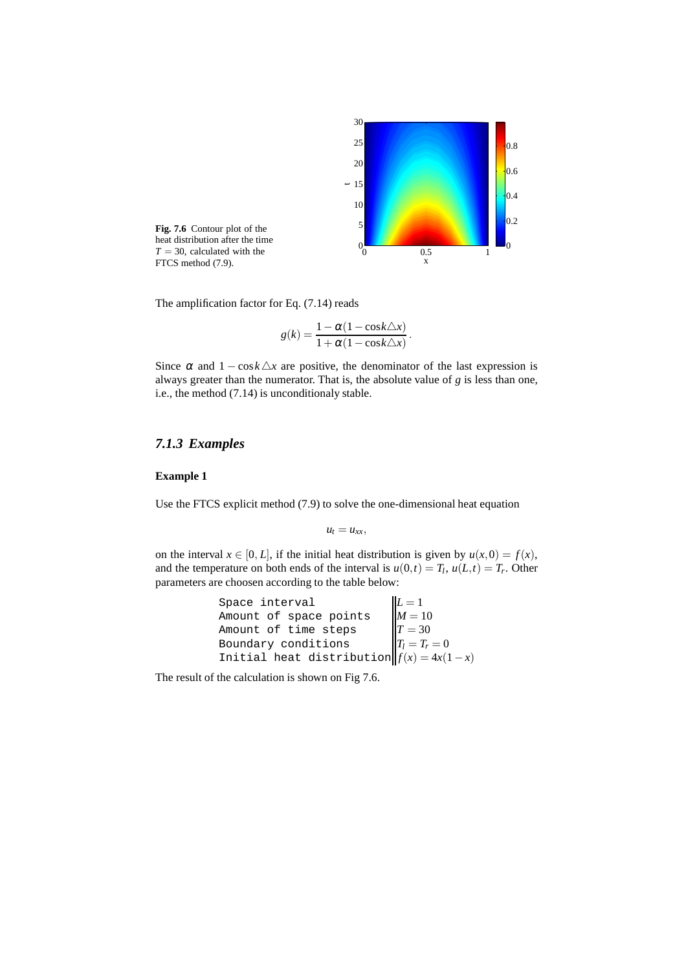

heat distribution after the time  $T = 30$ , calculated with the

The amplification factor for Eq. (7.14) reads

$$
g(k) = \frac{1 - \alpha(1 - \cos k \triangle x)}{1 + \alpha(1 - \cos k \triangle x)}.
$$

Since  $\alpha$  and  $1 - \cos k \Delta x$  are positive, the denominator of the last expression is always greater than the numerator. That is, the absolute value of *g* is less than one, i.e., the method (7.14) is unconditionaly stable.

# *7.1.3 Examples*

#### **Example 1**

Use the FTCS explicit method (7.9) to solve the one-dimensional heat equation

$$
u_t=u_{xx},
$$

on the interval  $x \in [0, L]$ , if the initial heat distribution is given by  $u(x, 0) = f(x)$ , and the temperature on both ends of the interval is  $u(0,t) = T_l$ ,  $u(L,t) = T_r$ . Other parameters are choosen according to the table below:

```
Space interval L=1Amount of space points M = 10Amount of time steps T = 30Boundary conditions T_l = T_r = 0Initial heat distribution f(x) = 4x(1-x)
```
The result of the calculation is shown on Fig 7.6.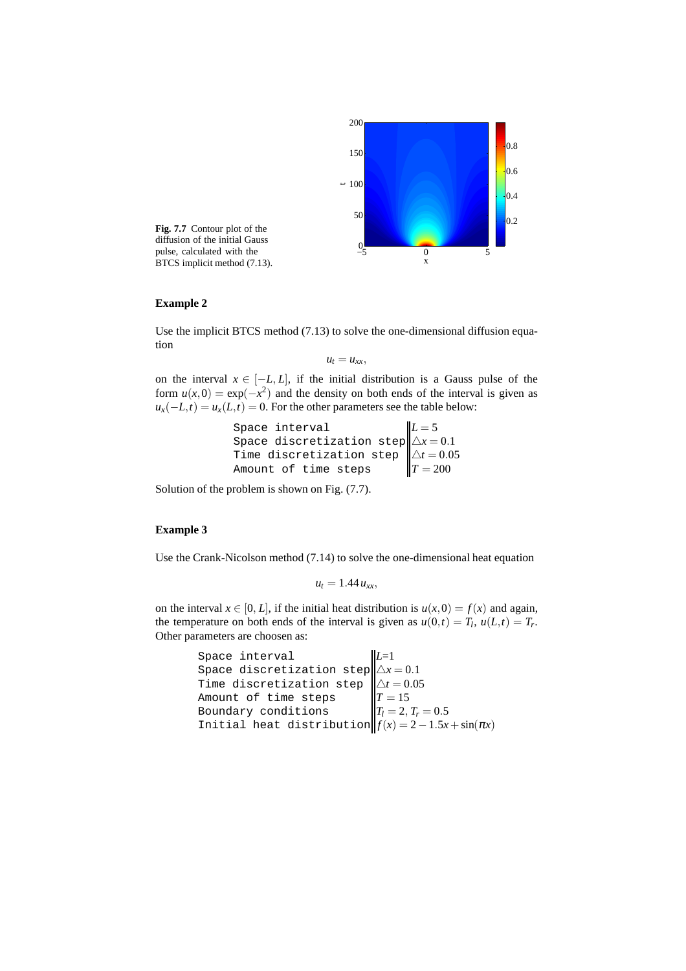

**Fig. 7.7** Contour plot of the diffusion of the initial Gauss pulse, calculated with the pulse, calculated with the  $\frac{0}{-5}$  0<br>BTCS implicit method (7.13).

#### **Example 2**

Use the implicit BTCS method (7.13) to solve the one-dimensional diffusion equation

 $u_t = u_{xx}$ 

on the interval  $x \in [-L, L]$ , if the initial distribution is a Gauss pulse of the form  $u(x,0) = \exp(-x^2)$  and the density on both ends of the interval is given as  $u_x(-L,t) = u_x(L,t) = 0$ . For the other parameters see the table below:

Space interval  
\nSpace discretization step  
\nTime discretization step  
\nAmount of time steps  
\n
$$
L = 5
$$
  
\n $\Delta x = 0.1$   
\n $\Delta t = 0.05$   
\n $T = 200$ 

Solution of the problem is shown on Fig. (7.7).

## **Example 3**

Use the Crank-Nicolson method (7.14) to solve the one-dimensional heat equation

$$
u_t=1.44\,u_{xx},
$$

on the interval  $x \in [0, L]$ , if the initial heat distribution is  $u(x, 0) = f(x)$  and again, the temperature on both ends of the interval is given as  $u(0,t) = T_l$ ,  $u(L,t) = T_r$ . Other parameters are choosen as:

```
Space interval L=1
Space discretization step \Delta x = 0.1Time discretization step \triangle t = 0.05Amount of time steps T = 15Boundary conditions T_l = 2, T_r = 0.5Initial heat distribution f(x) = 2 - 1.5x + \sin(\pi x)
```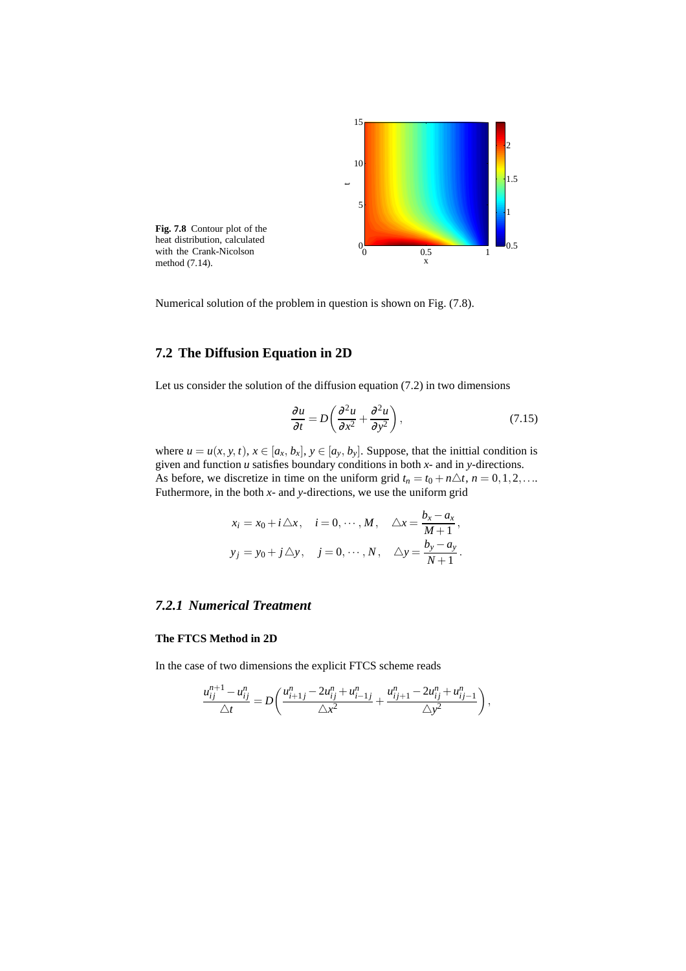

Numerical solution of the problem in question is shown on Fig. (7.8).

# **7.2 The Diffusion Equation in 2D**

Let us consider the solution of the diffusion equation  $(7.2)$  in two dimensions

$$
\frac{\partial u}{\partial t} = D \left( \frac{\partial^2 u}{\partial x^2} + \frac{\partial^2 u}{\partial y^2} \right),\tag{7.15}
$$

where  $u = u(x, y, t)$ ,  $x \in [a_x, b_x]$ ,  $y \in [a_y, b_y]$ . Suppose, that the initial condition is given and function *u* satisfies boundary conditions in both *x*- and in *y*-directions. As before, we discretize in time on the uniform grid  $t_n = t_0 + n\Delta t$ ,  $n = 0, 1, 2, \ldots$ Futhermore, in the both *x*- and *y*-directions, we use the uniform grid

$$
x_i = x_0 + i\Delta x, \quad i = 0, \cdots, M, \quad \Delta x = \frac{b_x - a_x}{M + 1},
$$
  

$$
y_j = y_0 + j\Delta y, \quad j = 0, \cdots, N, \quad \Delta y = \frac{b_y - a_y}{N + 1}.
$$

# *7.2.1 Numerical Treatment*

## **The FTCS Method in 2D**

In the case of two dimensions the explicit FTCS scheme reads

$$
\frac{u_{ij}^{n+1} - u_{ij}^n}{\triangle t} = D\left(\frac{u_{i+1j}^n - 2u_{ij}^n + u_{i-1j}^n}{\triangle x^2} + \frac{u_{ij+1}^n - 2u_{ij}^n + u_{ij-1}^n}{\triangle y^2}\right),
$$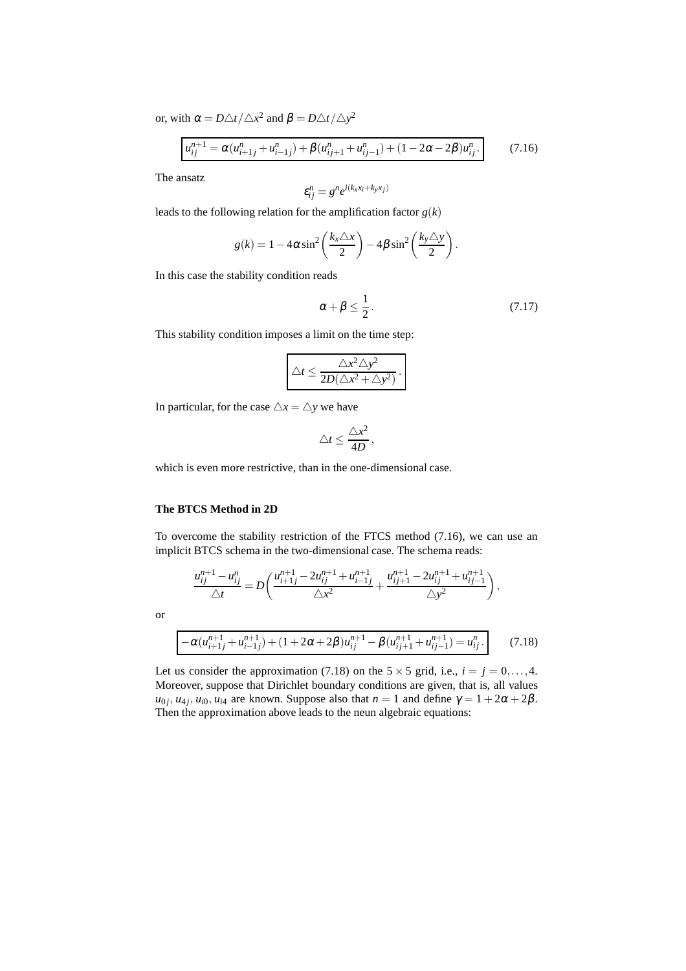or, with  $\alpha = D \triangle t / \triangle x^2$  and  $\beta = D \triangle t / \triangle y^2$ 

$$
u_{ij}^{n+1} = \alpha (u_{i+1j}^n + u_{i-1j}^n) + \beta (u_{ij+1}^n + u_{ij-1}^n) + (1 - 2\alpha - 2\beta)u_{ij}^n.
$$
 (7.16)

The ansatz

$$
\varepsilon_{ij}^n = g^n e^{i(k_x x_i + k_y x_j)}
$$

leads to the following relation for the amplification factor  $g(k)$ 

$$
g(k) = 1 - 4\alpha \sin^2\left(\frac{k_x \triangle x}{2}\right) - 4\beta \sin^2\left(\frac{k_y \triangle y}{2}\right).
$$

In this case the stability condition reads

$$
\alpha + \beta \le \frac{1}{2} \,. \tag{7.17}
$$

This stability condition imposes a limit on the time step:

$$
\Delta t \leq \frac{\Delta x^2 \Delta y^2}{2D(\Delta x^2 + \Delta y^2)}.
$$

In particular, for the case  $\triangle x = \triangle y$  we have

$$
\triangle t \leq \frac{\triangle x^2}{4D},
$$

which is even more restrictive, than in the one-dimensional case.

### **The BTCS Method in 2D**

To overcome the stability restriction of the FTCS method (7.16), we can use an implicit BTCS schema in the two-dimensional case. The schema reads:

$$
\frac{u_{ij}^{n+1} - u_{ij}^n}{\triangle t} = D \left( \frac{u_{i+1j}^{n+1} - 2u_{ij}^{n+1} + u_{i-1j}^{n+1}}{\triangle x^2} + \frac{u_{ij+1}^{n+1} - 2u_{ij}^{n+1} + u_{ij-1}^{n+1}}{\triangle y^2} \right),
$$

or

$$
-\alpha(u_{i+1j}^{n+1} + u_{i-1j}^{n+1}) + (1 + 2\alpha + 2\beta)u_{ij}^{n+1} - \beta(u_{ij+1}^{n+1} + u_{ij-1}^{n+1}) = u_{ij}^n.
$$
 (7.18)

Let us consider the approximation (7.18) on the  $5 \times 5$  grid, i.e.,  $i = j = 0, \ldots, 4$ . Moreover, suppose that Dirichlet boundary conditions are given, that is, all values  $u_{0j}$ ,  $u_{4j}$ ,  $u_{i0}$ ,  $u_{i4}$  are known. Suppose also that  $n = 1$  and define  $\gamma = 1 + 2\alpha + 2\beta$ . Then the approximation above leads to the neun algebraic equations: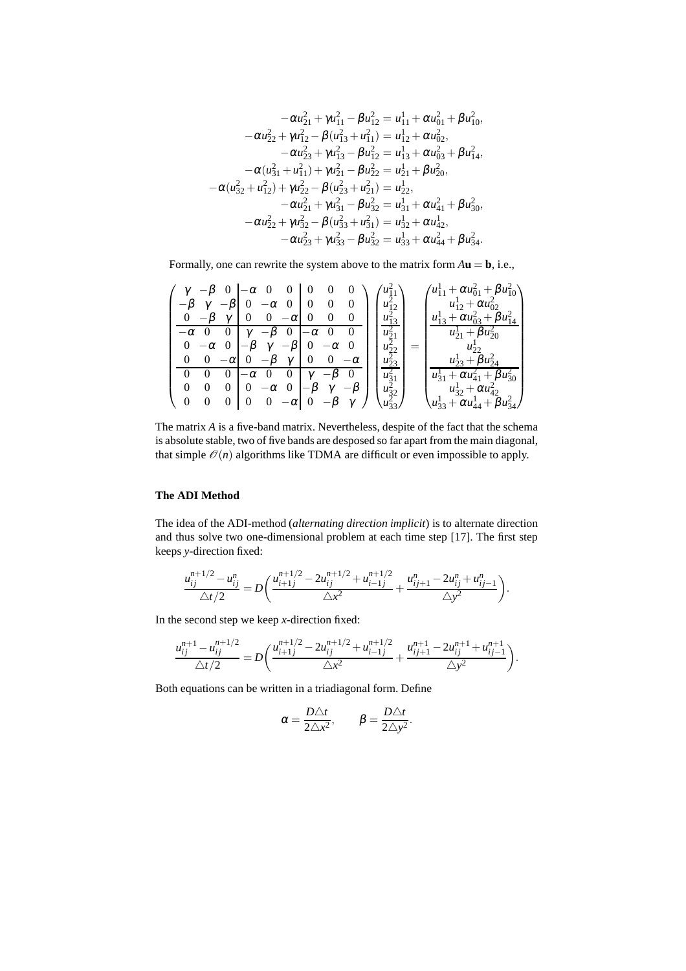$$
-\alpha u_{21}^2 + \gamma u_{11}^2 - \beta u_{12}^2 = u_{11}^1 + \alpha u_{01}^2 + \beta u_{10}^2,
$$
  
\n
$$
-\alpha u_{22}^2 + \gamma u_{12}^2 - \beta (u_{13}^2 + u_{11}^2) = u_{12}^1 + \alpha u_{02}^2,
$$
  
\n
$$
-\alpha u_{23}^2 + \gamma u_{13}^2 - \beta u_{12}^2 = u_{13}^1 + \alpha u_{03}^2 + \beta u_{14}^2,
$$
  
\n
$$
-\alpha (u_{31}^2 + u_{11}^2) + \gamma u_{21}^2 - \beta u_{22}^2 = u_{21}^1 + \beta u_{20}^2,
$$
  
\n
$$
-\alpha (u_{32}^2 + u_{12}^2) + \gamma u_{22}^2 - \beta (u_{23}^2 + u_{21}^2) = u_{22}^1,
$$
  
\n
$$
-\alpha u_{21}^2 + \gamma u_{31}^2 - \beta u_{32}^2 = u_{31}^1 + \alpha u_{41}^2 + \beta u_{30}^2,
$$
  
\n
$$
-\alpha u_{22}^2 + \gamma u_{32}^2 - \beta (u_{33}^2 + u_{31}^2) = u_{32}^1 + \alpha u_{42}^1,
$$
  
\n
$$
-\alpha u_{23}^2 + \gamma u_{32}^2 - \beta u_{33}^2 = u_{33}^1 + \alpha u_{44}^2 + \beta u_{34}^2.
$$

Formally, one can rewrite the system above to the matrix form  $A$ **u** = **b**, i.e.,

|             | $-\beta$ 0 $-\alpha$ 0 0 0 0<br>$\theta$<br>$-\beta$ $\gamma$ $-\beta$   0 $-\alpha$ 0   0 0<br>$0 - \beta \gamma$   0   0 $-\alpha$   0   0<br>$\sim 0$                                 |          | $u_{12}^2$ .<br>$u_{13}^-$       | $\langle u_{11}^1 + \alpha u_{01}^2 + \beta u_{10}^2 \rangle$<br>$u_{12}^1 + \alpha u_{02}^2$<br>$u_{13}^1 + \alpha u_{03}^2 + \beta u_{14}^2$ |
|-------------|------------------------------------------------------------------------------------------------------------------------------------------------------------------------------------------|----------|----------------------------------|------------------------------------------------------------------------------------------------------------------------------------------------|
|             | $-\alpha$ 0 0 $\gamma$ $-\beta$ 0 $-\alpha$ 0<br>$0 -\alpha$ $0$ $\begin{vmatrix} -\beta & \gamma & -\beta \end{vmatrix}$ $0 -\alpha$<br>0 0 $-\alpha$ 0 $-\beta$ $\gamma$ 0 0 $-\alpha$ |          | $u_{21}^2$ .<br>$u_{23}^2$       | $u_{21}^1 + \beta u_{20}^2$<br>$u_{22}^{\perp}$<br>$u_{23}^1 + \beta u_{24}^2$                                                                 |
| $0 \quad 0$ | 0 0 0 $-\alpha$ 0 0 $\gamma$ - $\beta$ 0<br>$0 \quad 0 \quad 0 \quad -\alpha \quad 0$<br>$ -\beta \gamma $<br>0 0 0 $-\alpha$ 0 $-\beta$ $\gamma$                                        | $-\beta$ | $\cdot u_{31}^2$<br>$u_{32}^2$ . | $u_{31}^1 + \alpha u_{41}^2 + \beta u_{30}^2$<br>$u_{32}^1 + \alpha u_{42}^2$<br>$u_{33}^1 + \alpha u_{44}^1 + \beta u_{34}^2$                 |

The matrix *A* is a five-band matrix. Nevertheless, despite of the fact that the schema is absolute stable, two of five bands are desposed so far apart from the main diagonal, that simple  $\mathcal{O}(n)$  algorithms like TDMA are difficult or even impossible to apply.

#### **The ADI Method**

The idea of the ADI-method (*alternating direction implicit*) is to alternate direction and thus solve two one-dimensional problem at each time step [17]. The first step keeps *y*-direction fixed:

$$
\frac{u_{ij}^{n+1/2} - u_{ij}^n}{\triangle t/2} = D\left(\frac{u_{i+1j}^{n+1/2} - 2u_{ij}^{n+1/2} + u_{i-1j}^{n+1/2}}{\triangle x^2} + \frac{u_{ij+1}^n - 2u_{ij}^n + u_{ij-1}^n}{\triangle y^2}\right).
$$

In the second step we keep *x*-direction fixed:

$$
\frac{u_{ij}^{n+1} - u_{ij}^{n+1/2}}{\triangle t/2} = D \bigg( \frac{u_{i+1j}^{n+1/2} - 2u_{ij}^{n+1/2} + u_{i-1j}^{n+1/2}}{\triangle x^2} + \frac{u_{ij+1}^{n+1} - 2u_{ij}^{n+1} + u_{ij-1}^{n+1}}{\triangle y^2} \bigg).
$$

Both equations can be written in a triadiagonal form. Define

$$
\alpha = \frac{D\triangle t}{2\triangle x^2}, \qquad \beta = \frac{D\triangle t}{2\triangle y^2}.
$$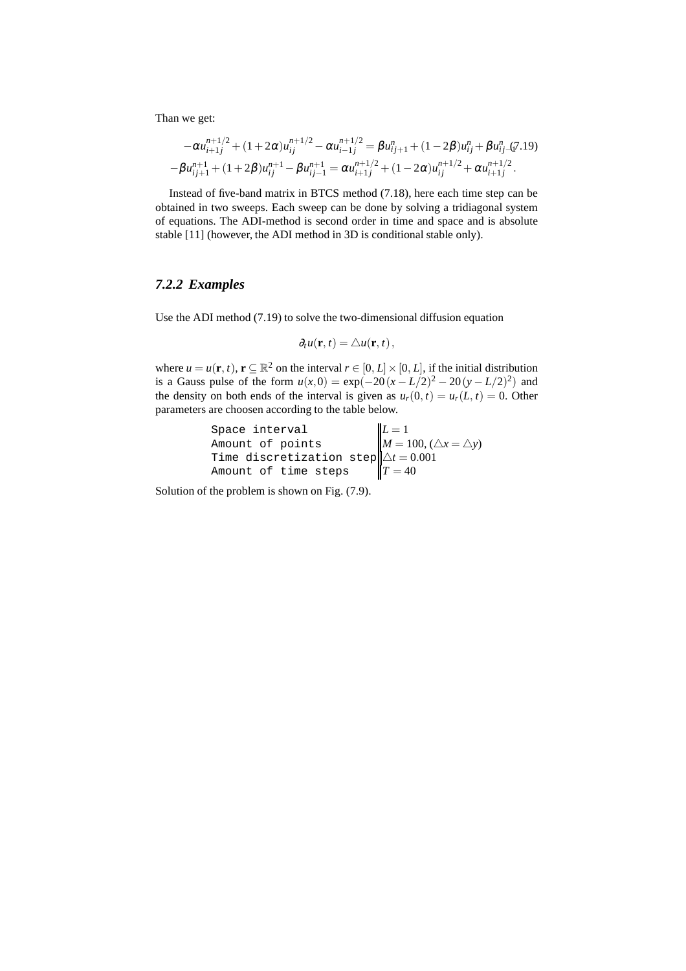Than we get:

$$
-\alpha u_{i+1j}^{n+1/2} + (1+2\alpha)u_{ij}^{n+1/2} - \alpha u_{i-1j}^{n+1/2} = \beta u_{ij+1}^n + (1-2\beta)u_{ij}^n + \beta u_{ij-1}^n(7.19) -\beta u_{ij+1}^{n+1} + (1+2\beta)u_{ij}^{n+1} - \beta u_{ij-1}^{n+1} = \alpha u_{i+1j}^{n+1/2} + (1-2\alpha)u_{ij}^{n+1/2} + \alpha u_{i+1j}^{n+1/2}.
$$

Instead of five-band matrix in BTCS method (7.18), here each time step can be obtained in two sweeps. Each sweep can be done by solving a tridiagonal system of equations. The ADI-method is second order in time and space and is absolute stable [11] (however, the ADI method in 3D is conditional stable only).

# *7.2.2 Examples*

Use the ADI method (7.19) to solve the two-dimensional diffusion equation

$$
\partial_t u(\mathbf{r},t) = \triangle u(\mathbf{r},t),
$$

where  $u = u(\mathbf{r}, t)$ ,  $\mathbf{r} \subseteq \mathbb{R}^2$  on the interval  $r \in [0, L] \times [0, L]$ , if the initial distribution is a Gauss pulse of the form  $u(x,0) = \exp(-20(x-L/2)^2 - 20(y-L/2)^2)$  and the density on both ends of the interval is given as  $u_r(0, t) = u_r(L, t) = 0$ . Other parameters are choosen according to the table below.

Space interval  
\nAmount of points  
\nTime discretization step  
\n
$$
\begin{cases}\nL = 1 \\
M = 100, (\triangle x = \triangle y) \\
\triangle t = 0.001 \\
T = 40\n\end{cases}
$$

Solution of the problem is shown on Fig. (7.9).